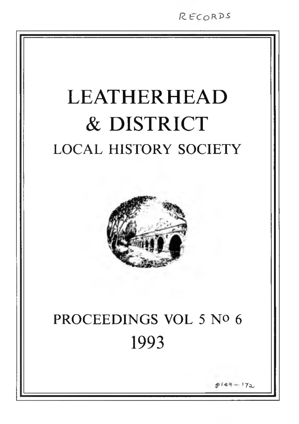*IZ t= c o ^s*

# **LEATHERHEAD & DISTRICT** LOCAL HISTORY SOCIETY



# PROCEEDINGS VOL 5 No 6 1993

 $-17<sub>2</sub>$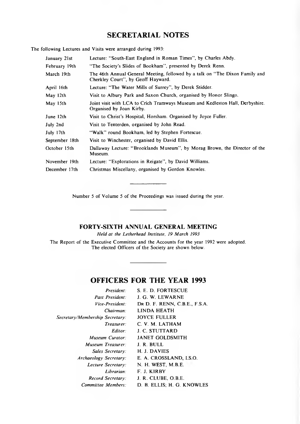# **SECRETARIAL NOTES**

The following Lectures and Visits were arranged during 1993:

| January 21st   | Lecture: "South-East England in Roman Times", by Charles Abdy.                                                     |
|----------------|--------------------------------------------------------------------------------------------------------------------|
| February 19th  | "The Society's Slides of Bookham", presented by Derek Renn.                                                        |
| March 19th     | The 46th Annual General Meeting, followed by a talk on "The Dixon Family and<br>Cherkley Court", by Geoff Hayward. |
| April 16th     | Lecture: "The Water Mills of Surrey", by Derek Stidder.                                                            |
| May 12th       | Visit to Albury Park and Saxon Church, organised by Honor Slingo.                                                  |
| May 15th       | Joint visit with LCA to Crich Tramways Museum and Kedleston Hall, Derbyshire.<br>Organised by Joan Kirby.          |
| June 12th      | Visit to Christ's Hospital, Horsham. Organised by Joyce Fuller.                                                    |
| July 2nd       | Visit to Tenterden, organised by John Read.                                                                        |
| July 17th      | "Walk" round Bookham, led by Stephen Fortescue.                                                                    |
| September 18th | Visit to Winchester, organised by David Ellis.                                                                     |
| October 15th   | Dallaway Lecture: "Brooklands Museum", by Morag Brown, the Director of the<br>Museum.                              |
| November 19th  | Lecture: "Explorations in Reigate", by David Williams.                                                             |
| December 17th  | Christmas Miscellany, organised by Gordon Knowles.                                                                 |

Number 5 of Volume 5 of the Proceedings was issued during the year.

## **FORTY-SIXTH ANNUAL GENERAL MEETING**

*Held at the Letherhead Institute, 19 March 1993*

The Report of the Executive Committee and the Accounts for the year 1992 were adopted. The elected Officers of the Society are shown below.

# **OFFICERS FOR THE YEAR 1993**

| President:                      | S. E. D. FORTESCUE            |
|---------------------------------|-------------------------------|
| Past President:                 | J. G. W. LEWARNE              |
| Vice-President:                 | DR D. F. RENN, C.B.E., F.S.A. |
| Chairman:                       | LINDA HEATH                   |
| Secretary/Membership Secretary: | <b>JOYCE FULLER</b>           |
| Treasurer:                      | C. V. M. LATHAM               |
| Editor:                         | <b>J. C. STUTTARD</b>         |
| Museum Curator:                 | <b>JANET GOLDSMITH</b>        |
| Museum Treasurer:               | J. R. BULL                    |
| Sales Secretary:                | H. J. DAVIES                  |
| Archaeology Secretary:          | E. A. CROSSLAND, I.S.O.       |
| Lecture Secretary:              | N. H. WEST, M.B.E.            |
| Librarian:                      | F. J. KIRBY                   |
| Record Secretary:               | J. R. CLUBE, O.B.E.           |
| Committee Members:              | D. B. ELLIS; H. G. KNOWLES    |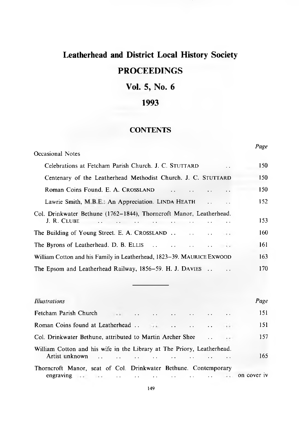# **Leatherhead and District Local History Society PROCEEDINGS**

# **Vol. 5, No. 6**

# **1993**

## **CONTENTS**

*Page*

| <b>Occasional Notes</b>                                                            | rage |
|------------------------------------------------------------------------------------|------|
| Celebrations at Fetcham Parish Church. J. C. STUTTARD<br>$\ddot{\phantom{0}}$      | 150  |
| Centenary of the Leatherhead Methodist Church. J. C. STUTTARD                      | 150  |
| Roman Coins Found. E. A. CROSSLAND                                                 | 150  |
| Lawrie Smith, M.B.E.: An Appreciation. LINDA HEATH                                 | 152  |
| Col. Drinkwater Bethune (1762–1844), Thorncroft Manor, Leatherhead.<br>J. R. CLUBE | 153  |
| The Building of Young Street. E. A. CROSSLAND $\ldots$                             | 160  |
|                                                                                    | 161  |
| William Cotton and his Family in Leatherhead, 1823-39. MAURICE EXWOOD              | 163  |
| The Epsom and Leatherhead Railway, 1856–59. H. J. DAVIES                           | 170  |
|                                                                                    |      |

| Illustrations                                                                                                                                                                                                                                                                                            | Page |
|----------------------------------------------------------------------------------------------------------------------------------------------------------------------------------------------------------------------------------------------------------------------------------------------------------|------|
|                                                                                                                                                                                                                                                                                                          | 151  |
|                                                                                                                                                                                                                                                                                                          | 151  |
|                                                                                                                                                                                                                                                                                                          | 157  |
| William Cotton and his wife in the Library at The Priory, Leatherhead.<br>Artist unknown and the contract of the contract of the contract of the contract of the contract of the contract of the contract of the contract of the contract of the contract of the contract of the contract of the contrac | 165  |
| Thorncroft Manor, seat of Col. Drinkwater Bethune. Contemporary                                                                                                                                                                                                                                          |      |
| engraving and the contract of the contract of the contract of the contract of the contract of the contract of the contract of the contract of the contract of the contract of the contract of the contract of the contract of                                                                            |      |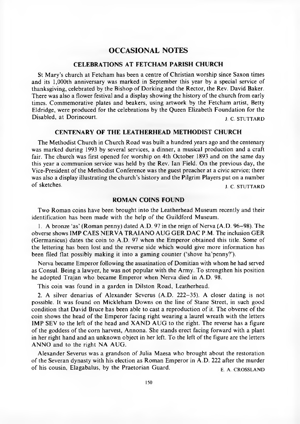## **OCCASIONAL NOTES**

#### **CELEBRATIONS AT FETCHAM PARISH CHURCH**

St Mary's church at Fetcham has been a centre of Christian worship since Saxon times and its 1,000th anniversary was marked in September this year by a special service of thanksgiving, celebrated by the Bishop of Dorking and the Rector, the Rev. David Baker. There was also a flower festival and a display showing the history of the church from early times. Commemorative plates and beakers, using artwork by the Fetcham artist, Betty Eldridge, were produced for the celebrations by the Queen Elizabeth Foundation for the Disabled, at Dorincourt. j c STUTTARD

#### **CENTENARY OF THE LEATHERHEAD METHODIST CHURCH**

The Methodist Church in Church Road was built a hundred years ago and the centenary was marked during 1993 by several services, a dinner, a musical production and a craft fair. The church was first opened for worship on 4th October 1893 and on the same day this year a communion service was held by the Rev. Ian Field. On the previous day, the Vice-President of the Methodist Conference was the guest preacher at a civic service; there was also a display illustrating the church's history and the Pilgrim Players put on a number of sketches. J. C. STUTTARD

### **ROMAN COINS FOUND**

Two Roman coins have been brought into the Leatherhead Museum recently and their identification has been made with the help of the Guildford Museum.

1. A bronze 'as' (Roman penny) dated A.D. 97 in the reign of Nerva  $(A.D. 96-98)$ . The obverse shows IMP CAES NERVA TRAIANO AUG GER DAC P.M. The inclusion GER (Germanicus) dates the coin to A.D. 97 when the Emperor obtained this title. Some of the lettering has been lost and the reverse side which would give more information has been filed flat possibly making it into a gaming counter ('shove ha'penny?').

Nerva became Emperor following the assasination of Domitian with whom he had served as Consul. Being a lawyer, he was not popular with the Army. To strengthen his position he adopted Trajan who became Emperor when Nerva died in A.D. 98.

This coin was found in a garden in Dilston Road, Leatherhead.

2. A silver denarius of Alexander Severus (A.D. 222-35). A closer dating is not possible. It was found on Mickleham Downs on the line of Stane Street, in such good condition that David Bruce has been able to cast a reproduction of it. The obverse of the coin shows the head of the Emperor facing right wearing a laurel wreath with the letters IMP SEV to the left of the head and XAND AUG to the right. The reverse has a figure of the goddess of the corn harvest, Annona. She stands erect facing forward with a plant in her right hand and an unknown object in her left. To the left of the figure are the letters ANNO and to the right NA AUG.

A lexander Severus was a grandson of Julia Maesa who brought about the restoration of the Severan dynasty with his election as Roman Emperor in A.D. 222 after the murder of his cousin, Elagabalus, by the Praetorian Guard.  $E_A$  CROSSLAND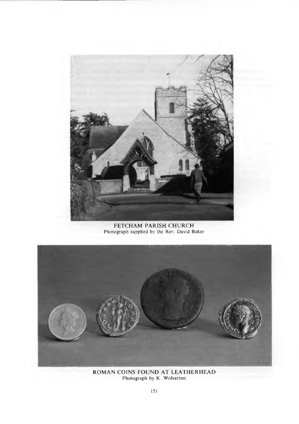

FETCHAM PARISH CHURCH Photograph supplied by the Rev. David Baker



ROMAN COINS FOUND AT LEATHERHEAI Photograph by K. Wolvertor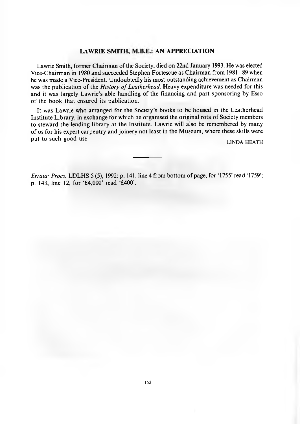#### **LAWRIE SMITH, M.B.E.: AN APPRECIATION**

Lawrie Smith, former Chairman of the Society, died on 22nd January 1993. He was elected Vice-Chairman in 1980 and succeeded Stephen Fortescue as Chairman from 1981–89 when he was made a Vice-President. Undoubtedly his most outstanding achievement as Chairman was the publication of the *History of Leatherhead*. Heavy expenditure was needed for this and it was largely Lawrie's able handling of the financing and part sponsoring by Esso of the book that ensured its publication.

It was Lawrie who arranged for the Society's books to be housed in the Leatherhead Institute Library, in exchange for which he organised the original rota of Society members to steward the lending library at the Institute. Lawrie will also be remembered by many of us for his expert carpentry and joinery not least in the M useum, where these skills were put to such good use. LINDA HEATH

*Errata: Procs,* LDLHS 5 (5), 1992: p. 141, line 4 from bottom of page, for '1755' read '1759'; p. 143, line 12, for '£4,000' read '£400'.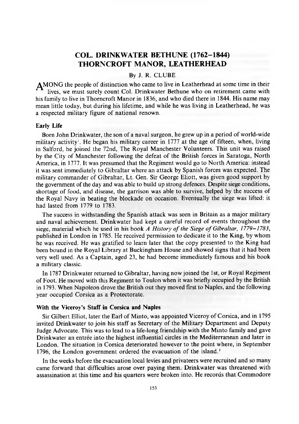## **COL. DRINKWATER BETHUNE (1762-1844) THORNCROFT MANOR, LEATHERHEAD**

#### By J. R. CLUBE

AM ONG the people of distinction who came to live in Leatherhead at some time in their lives, we must surely count Col. Drinkwater Bethune who on retirement came with his family to live in Thorncroft Manor in 1836, and who died there in 1844. His name may mean little today, but during his lifetime, and while he was living in Leatherhead, he was a respected military figure of national renown.

#### **Early Life**

Born John Drinkwater, the son of a naval surgeon, he grew up in a period of world-wide military activity<sup>1</sup>. He began his military career in 1777 at the age of fifteen, when, living in Salford, he joined the 72nd, The Royal Manchester Volunteers. This unit was raised by the City of Manchester following the defeat of the British forces in Saratoga, North America, in 1777. It was presumed that the Regiment would go to North America: instead it was sent immediately to Gibraltar where an attack by Spanish forces was expected. The military commander of Gibraltar, Lt. Gen. Sir George Eliott, was given good support by the government of the day and was able to build up strong defences. Despite siege conditions, shortage of food, and disease, the garrison was able to survive, helped by the success of the Royal Navy in beating the blockade on occasion. Eventually the siege was lifted: it had lasted from 1779 to 1783.

The success in withstanding the Spanish attack was seen in Britain as a major military and naval achievement. Drinkwater had kept a careful record of events throughout the siege, material which he used in his book *A History of the Siege of Gibraltar, 1779–1783*, published in London in 1785. He received perm ission to dedicate it to the King, by whom he was received. He was gratified to learn later that the copy presented to the King had been bound in the Royal Library at Buckingham House and showed signs that it had been very well used. As a Captain, aged 23, he had become immediately famous and his book a military classic.

In 1787 Drinkwater returned to Gibraltar, having now joined the 1st, or Royal Regiment of Foot. He moved with this Regiment to Toulon when it was briefly occupied by the British in 1793. When Napoleon drove the British out they moved first to Naples, and the following year occupied Corsica as a Protectorate.

#### **With the Viceroy's Staff in Corsica and Naples**

Sir Gilbert Elliot, later the Earl of Minto, was appointed Viceroy of Corsica, and in 1795 invited Drinkwater to join his staff as Secretary of the Military Department and Deputy Judge Advocate. This was to lead to a life-long friendship with the M into family and gave Drinkwater an entree into the highest influential circles in the Mediterranean and later in London. The situation in Corsica deteriorated however to the point where, in September 1796, the London government ordered the evacuation of the island.<sup>2</sup>

In the weeks before the evacuation local levies and privateers were recruited and so many came forward that difficulties arose over paying them. Drinkwater was threatened with assassination at this time and his quarters were broken into. He records that Commodore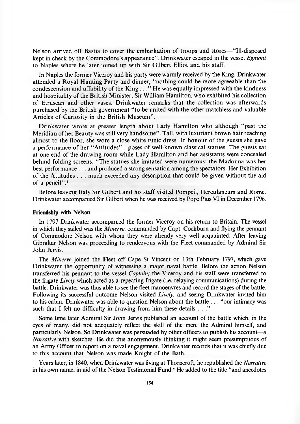Nelson arrived off Bastia to cover the embarkation of troops and stores—"Ill-disposed kept in check by the Commodore's appearance''. Drinkwater escaped in the vessel *Egmont* to Naples where he later joined up with Sir Gilbert Elliot and his staff.

In Naples the former Viceroy and his party were warmly received by the King. Drinkwater attended a Royal Hunting Party and dinner, "nothing could be more agreeable than the condescension and affability of the King  $\ldots$ " He was equally impressed with the kindness and hospitality of the British Minister, Sir William Hamilton, who exhibited his collection of Etruscan and other vases. Drinkwater remarks that the collection was afterwards purchased by the British government "to be united with the other matchless and valuable Articles of Curiosity in the British Museum".

Drinkwater wrote at greater length about Lady Hamilton who although "past the Meridian of her Beauty was still very handsome". Tall, with luxuriant brown hair reaching alm ost to the floor, she wore a close white tunic dress. In honour of the guests she gave a performance of her "Attitudes"—poses of well-known classical statues. The guests sat at one end of the drawing room while Lady Hamilton and her assistants were concealed behind folding screens. "The statues she imitated were numerous: the Madonna was her best performance . . . and produced a strong sensation among the spectators. Her Exhibition of the Attitudes . . . much exceeded any description that could be given without the aid of a pencil" 3

Before leaving Italy Sir Gilbert and his staff visited Pompeii, Herculaneum and Rome. Drinkwater accompanied Sir Gilbert when he was received by Pope Pius VI in December 1796.

#### **Friendship with Nelson**

In 1797 Drinkwater accompanied the former Viceroy on his return to Britain. The vessel in which they sailed was the *Minerve,* commanded by Capt. Cockburn and flying the pennant of Commodore Nelson with whom they were already very well acquainted. After leaving Gibraltar Nelson was proceeding to rendezvous with the Fleet commanded by Admiral Sir John Jervis.

The *Minerve* joined the Fleet off Cape St Vincent on 13th February 1797, which gave Drinkwater the opportunity of witnessing a major naval battle. Before the action Nelson transferred his pennant to the vessel *Captain;* the Viceroy and his staff were transferred to the frigate *Lively* which acted as a repeating frigate (i.e. relaying communications) during the battle. Drinkwater was thus able to see the fleet manoeuvres and record the stages of the battle. Following its successful outcome Nelson visited *Lively,* and seeing Drinkwater invited him to his cabin. Drinkwater was able to question Nelson about the battle . . . "our intimacy was such that I felt no difficulty in drawing from him these details . . ."

Some time later Admiral Sir John Jervis published an account of the battle which, in the eyes of many, did not adequately reflect the skill of the men, the Admiral himself, and particularly Nelson. So Drinkwater was persuaded by other officers to publish his account—a *Narrative* with sketches. He did this anonymously thinking it might seem presumptuous of an Army Officer to report on a naval engagement. Drinkwater records that it was chiefly due to this account that Nelson was made Knight of the Bath.

Years later, in 1840, when Drinkwater was living at Thomcroft, he republished the *Narrative* in his own name, in aid of the Nelson Testimonial Fund.<sup>4</sup> He added to the title "and anecdotes"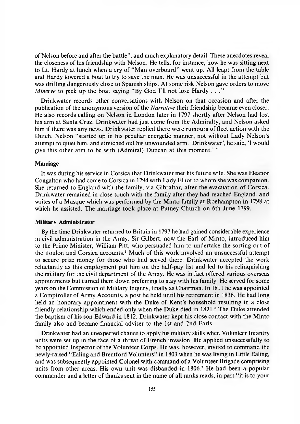of Nelson before and after the battle", and much explanatory detail. These anecdotes reveal the closeness of his friendship with Nelson. He tells, for instance, how he was sitting next to Lt. Hardy at lunch when a cry of "Man overboard" went up. All leapt from the table and Hardy lowered a boat to try to save the man. He was unsuccessful in the attempt but was drifting dangerously close to Spanish ships. At some risk Nelson gave orders to move *Minerve* to pick up the boat saying "By God I'll not lose Hardy . . ."

Drinkwater records other conversations with Nelson on that occasion and after the publication of the anonymous version of the *Narrative* their friendship became even closer. He also records calling on Nelson in London later in 1797 shortly after Nelson had lost his arm at Santa Cruz. Drinkwater had just come from the Admiralty, and Nelson asked him if there was any news. Drinkwater replied there were rumours of fleet action with the Dutch. Nelson "started up in his peculiar energetic manner, not without Lady Nelson's attempt to quiet him, and stretched out his unwounded arm. 'Drinkwater', he said, 'I would give this other arm to be with (Admiral) Duncan at this moment.'"

#### **Marriage**

It was during his service in Corsica that Drinkwater met his future wife. She was Eleanor Congalton who had come to Corsica in 1794 with Lady Elliot to whom she was companion. She returned to England with the family, via Gibraltar, after the evacuation of Corsica. Drinkwater remained in close touch with the family after they had reached England, and writes of a Masque which was performed by the Minto family at Roehampton in 1798 at which he assisted. The marriage took place at Putney Church on 6th June 1799.

#### **Military Administrator**

By the time Drinkwater returned to Britain in 1797 he had gained considerable experience in civil administration in the Army. Sir Gilbert, now the Earl of Minto, introduced him to the Prime Minister, William Pitt, who persuaded him to undertake the sorting out of the Toulon and Corsica accounts.<sup>5</sup> Much of this work involved an unsuccessful attempt to secure prize money for those who had served there. Drinkwater accepted the work reluctantly as this employment put him on the half-pay list and led to his relinquishing the military for the civil department of the Army. He was in fact offered various overseas appointments but turned them down preferring to stay with his family. He served for some years on the Commission of Military Inquiry, finally as Chairman. In 1811 he was appointed a Comptroller of Army Accounts, a post he held until his retirement in 1836. He had long held an honorary appointment with the Duke of Kent's household resulting in a close friendly relationship which ended only when the Duke died in 1821.<sup>6</sup> The Duke attended the baptism of his son Edward in 1812. Drinkwater kept his close contact with the Minto family also and became financial adviser to the 1st and 2nd Earls.

Drinkwater had an unexpected chance to apply his military skills when Volunteer Infantry units were set up in the face of a threat of French invasion. He applied unsuccessfully to be appointed Inspector of the Volunteer Corps. He was, however, invited to command the newly-raised "Ealing and Brentford Volunters" in 1803 when he was living in Little Ealing, and was subsequently appointed Colonel with command of a Volunteer Brigade comprising units from other areas. His own unit was disbanded in 1806.7 He had been a popular commander and a letter of thanks sent in the name of all ranks reads, in part "it is to your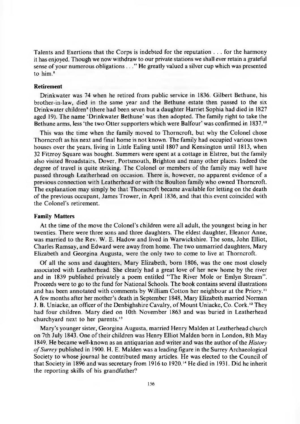Talents and Exertions that the Corps is indebted for the reputation . . . for the harmony it has enjoyed. Though we now withdraw to our private stations we shall ever retain a grateful sense of your numerous obligations ..." He greatly valued a silver cup which was presented to him.<sup>8</sup>

#### **Retirement**

Drinkwater was 74 when he retired from public service in 1836. Gilbert Bethune, his brother-in-law, died in the same year and the Bethune estate then passed to the six Drinkwater children<sup>9</sup> (there had been seven but a daughter Harriet Sophia had died in 1827 aged 19). The name 'Drinkwater Bethune' was then adopted. The family right to take the Bethune arms, less 'the two Otter supporters which were Balfour' was confirmed in 1837.<sup>10</sup>

This was the time when the family moved to Thorncroft, but why the Colonel chose Thorncroft as his next and final home is not known. The family had occupied various town houses over the years, living in Little Ealing until 1807 and Kensington until 1813, when 32 Fitzroy Square was bought. Summers were spent at a cottage in Elstree, but the family also visited Broadstairs, Dover, Portsmouth, Brighton and many other places. Indeed the degree of travel is quite striking. The Colonel or members of the family may well have passed through Leatherhead on occasion. There is, however, no apparent evidence of a previous connection with Leatherhead or with the Boulton family who owned Thorncroft. The explanation may simply be that Thorncroft became available for letting on the death of the previous occupant, James Trower, in April 1836, and that this event coincided with the Colonel's retirement.

#### **Family Matters**

At the time of the move the Colonel's children were all adult, the youngest being in her twenties. There were three sons and three daughters. The eldest daughter, Eleanor Anne, was married to the Rev. W. E. Hadow and lived in Warwickshire. The sons, John Elliot, Charles Ramsay, and Edward were away from home. The two unmarried daughters, Mary Elizabeth and Georgina Augusta, were the only two to come to live at Thorncroft.

Of all the sons and daughters, Mary Elizabeth, born 1806, was the one most closely associated with Leatherhead. She clearly had a great love of her new home by the river and in 1839 published privately a poem entitled "The River Mole or Emlyn Stream". Proceeds were to go to the fund for National Schools. The book contains several illustrations and has been annotated with comments by William Cotton her neighbour at the Priory.<sup>11</sup> A few months after her mother's death in September 1848, Mary Elizabeth married Norman J. B. Uniacke, an officer of the Denbighshire Cavalry, of Mount Uniacke, Co. Cork.<sup>12</sup> They had four children. Mary died on 10th November 1863 and was buried in Leatherhead churchyard next to her parents.13

Mary's younger sister, Georgina Augusta, married Henry Malden at Leatherhead church on 7th July 1843. One of their children was Henry Elliot Malden born in London, 8th May 1849. He became well-known as an antiquarian and writer and was the author of the *History o f Surrey* published in 1900. H. E. M alden was a leading figure in the Surrey Archaeological Society to whose journal he contributed many articles. He was elected to the Council of that Society in 1896 and was secretary from 1916 to 1920.<sup>14</sup> He died in 1931. Did he inherit the reporting skills of his grandfather?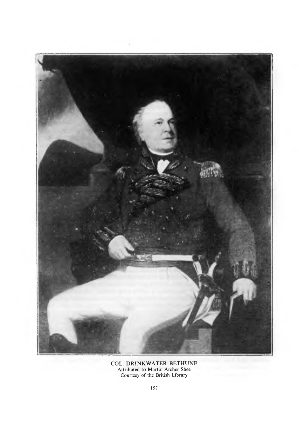

COL. DRINKWATER BETHUNE Attributed to Martin Archer Shee Courtesy of the British Library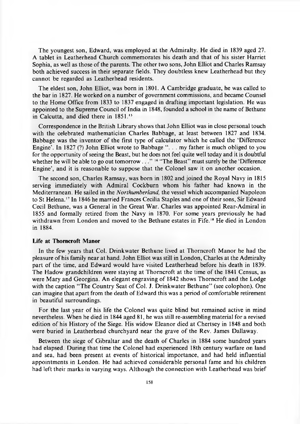The youngest son, Edward, was employed at the Admiralty. He died in 1839 aged 27. A tablet in Leatherhead Church commemorates his death and that of his sister Harriet Sophia, as well as those of the parents. The other two sons, John Elliot and Charles Ramsay both achieved success in their separate fields. They doubtless knew Leatherhead but they cannot be regarded as Leatherhead residents.

The eldest son, John Elliot, was born in 1801. A Cam bridge graduate, he was called to the bar in 1827. He worked on a number of government commissions, and became Counsel to the Home Office from 1833 to 1837 engaged in drafting im portant legislation. He was appointed to the Supreme Council of India in 1848, founded a school in the name of Bethune in Calcutta, and died there in 1851.<sup>15</sup>

Correspondence in the British Library shows that John Elliot was in close personal touch with the celebrated mathematician Charles Babbage, at least between 1827 and 1834. Babbage was the inventor of the first type of calculator which he called the 'Difference Engine'. In 1827 (?) John Elliot wrote to Babbage ". . . my father is much obliged to you for the opportunity of seeing the Beast, but he does not feel quite well today and it is doubtful whether he will be able to go out tomorrow . . . "<sup>16</sup> "The Beast" must surely be the 'Difference Engine', and it is reasonable to suppose that the Colonel saw it on another occasion.

The second son, Charles Ramsay, was born in 1802 and joined the Royal Navy in 1815 serving immediately with Admiral Cockburn whom his father had known in the M editerranean. He sailed in the *Northumberland,* the vessel which accompanied Napoleon to St Helena.<sup>17</sup> In 1846 he married Frances Cecilia Staples and one of their sons, Sir Edward Cecil Bethune, was a General in the Great War. Charles was appointed Rear-Admiral in 1855 and formally retired from the Navy in 1870. For some years previously he had withdrawn from London and moved to the Bethune estates in Fife.18 He died in London in 1884.

#### **Life at Thorncroft Manor**

In the few years that Col. Drinkwater Bethune lived at Thorncroft Manor he had the pleasure of his family near at hand. John Elliot was still in London, Charles at the Admiralty part of the time, and Edward would have visited Leatherhead before his death in 1839. The Hadow grandchildren were staying at Thorncroft at the time of the 1841 Census, as were Mary and Georgina. An elegant engraving of 1842 shows Thorncroft and the Lodge with the caption "The Country Seat of Col. J. Drinkwater Bethune" (see colophon). One can imagine that apart from the death of Edward this was a period of comfortable retirement in beautiful surroundings.

For the last year of his life the Colonel was quite blind but remained active in mind nevertheless. When he died in 1844 aged 81, he was still re-assembling material for a revised edition of his History of the Siege. His widow Eleanor died at Chertsey in 1848 and both were buried in Leatherhead churchyard near the grave of the Rev. James Dallaway.

Between the siege of Gibraltar and the death of Charles in 1884 some hundred years had elapsed. During that time the Colonel had experienced 18th century warfare on land and sea, had been present at events of historical importance, and had held influential appointments in London. He had achieved considerable personal fame and his children had left their marks in varying ways. Although the connection with Leatherhead was brief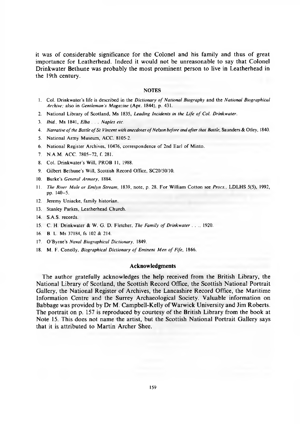it was of considerable significance for the Colonel and his family and thus of great importance for Leatherhead. Indeed it would not be unreasonable to say that Colonel Drinkwater Bethune was probably the most prominent person to live in Leatherhead in the 19th century.

#### **NOTES**

- 1. Col. Drinkwater's life is described in the *Dictionary of National Biography* and the *National Biographical Archive;* also in *Gentleman's Magazine* (Apr. 1844), p. 431.
- 2. National Library of Scotland, Ms 1835, *Leading Incidents in the Life of Col. Drinkwater*.
- 3. *Ibid.,* Ms 1841, *Elba . . . Naples etc.*
- 4. Narrative of the Battle of St Vincent with anecdotes of Nelson before and after that Battle, Saunders & Otley, 1840.
- 5. National Army Museum, ACC. 8105-2.
- 6. National Register Archives, 10476, correspondence of 2nd Earl of Minto.
- 7. N.A.M . ACC. 7805-72, f. 281.
- 8. Col. Drinkwater's Will, PROB 11, 1988.
- 9. Gilbert Bethune's Will, Scottish Record Office, SC20/50/10.
- 10. Burke's *General Armory,* 1884.
- 11. *The River Mole or Emlvn Stream,* 1839, note, p. 28. For William C otton see *Procs.,* LDLHS 5(5), 1992, pp. 140-5.
- 12. Jeremy Uniacke, family historian.
- 13. Stanley Parkes, Leatherhead Church.
- 14. S.A.S. records.
- 15. C. H. Drinkwater & W. G. D. Fletcher, *The Family of Drinkwater . . .*. 1920.
- 16. B. L. Ms 37184, fs 102 & 214.
- 17. O'Byrne's *Naval Biographical Dictionary,* 1849.
- 18. M. F. Conolly, *Biographical Dictionary of Eminent Men of Fife*, 1866.

#### **Acknowledgments**

The author gratefully acknowledges the help received from the British Library, the National Library of Scotland, the Scottish Record Office, the Scottish National Portrait Gallery, the National Register of Archives, the Lancashire Record Office, the Maritime Information Centre and the Surrey Archaeological Society. Valuable information on Babbage was provided by Dr M. Campbell-Kelly of Warwick University and Jim Roberts. The portrait on p. 157 is reproduced by courtesy of the British Library from the book at Note 15. This does not name the artist, but the Scottish National Portrait Gallery says that it is attributed to Martin Archer Shee.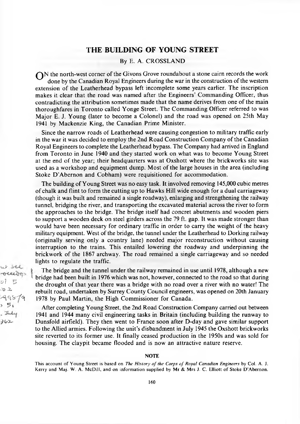### **THE BUILDING OF YOUNG STREET**

#### By E. A. CROSSLAND

Q N the north-west corner of the Givons Grove roundabout a stone cairn records the work done by the Canadian Royal Engineers during the war in the construction of the western extension of the Leatherhead bypass left incomplete some years earlier. The inscription makes it clear that the road was named after the Engineers' Commanding Officer, thus contradicting the attribution sometimes made that the name derives from one of the main thoroughfares in Toronto called Yonge Street. The Commanding Officer referred to was Major E. J. Young (later to become a Colonel) and the road was opened on 25th May 1941 by Mackenzie King, the Canadian Prime Minister.

Since the narrow roads of Leatherhead were causing congestion to military traffic early in the war it was decided to employ the 2nd Road Construction Company of the Canadian Royal Engineers to complete the Leatherhead bypass. The Company had arrived in England from Toronto in June 1940 and they started work on what was to become Young Street at the end of the year; their headquarters was at Oxshott where the brickworks site was used as a workshop and equipment dump. Most of the large houses in the area (including Stoke D'Abernon and Cobham) were requisitioned for accommodation.

The building of Young Street was no easy task. It involved removing 145,000 cubic metres o f chalk and flint to form the cutting up to Hawks Hill wide enough for a dual carriageway (though it was built and remained a single roadway), enlarging and strengthening the railway tunnel, bridging the river, and transporting the excavated material across the river to form the approaches to the bridge. The bridge itself had concret abutments and wooden piers to support a wooden deck on steel girders across the 79 ft. gap. It was made stronger than would have been necessary for ordinary traffic in order to carry the weight of the heavy military equipment. West of the bridge, the tunnel under the Leatherhead to Dorking railway (originally serving only a country lane) needed major reconstruction without causing interruption to the trains. This entailed lowering the roadway and underpinning the brickwork of the 1867 archway. The road remained a single carriageway and so needed lights to regulate the traffic.

The bridge and the tunnel under the railway remained in use until 1978, although a new bridge had been built in 1976 which was not, however, connected to the road so that during the drought of that year there was a bridge with no road over a river with no water! The rebuilt road, undertaken by Surrey County Council engineers, was opened on 20th January 1978 by Paul Martin, the High Commissioner for Canada.

After completing Young Street, the 2nd Road Construction Company carried out between 1941 and 1944 many civil engineering tasks in Britain (including building the runway to Dunsfold airfield). They then went to France soon after D -day and gave similar support to the Allied armies. Following the unit's disbandment in July 1945 the Oxshott brickworks site reverted to its former use. It finally ceased production in the 1950s and was sold for housing. The claypit became flooded and is now an attractive nature reserve.

#### NOTE

This account of Young Street is based on *The History of the Corps of Royal Canadian Engineers* by Col. A. J. Kerry and Maj. W. A. McDill, and on information supplied by Mr & Mrs J. C. Elliott of Stoke D'Abernon.

 $x$ oceeves *o l 5*  $02$ **^c-sr/c,**  $5<sub>t</sub>$ July . *JtoT-*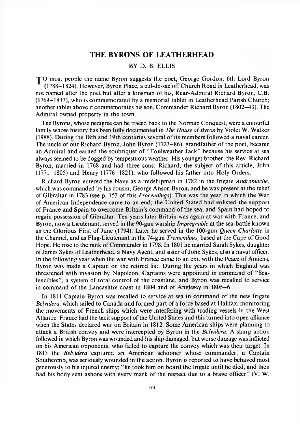### **THE BYRONS OF LEATHERHEAD**

#### BY D. B. ELLIS

TO most people the name Byron suggests the poet, George Gordon, 6th Lord Byron (1788-1824). However, Byron Place, a cul-de-sac off C hurch R oad in Leatherhead, was not named after the poet but after a kinsman of his, Rear-Admiral Richard Byron, C.B.  $(1769-1837)$ , who is commemorated by a memorial tablet in Leatherhead Parish Church; another tablet above it commemorates his son, Commander Richard Byron (1802–43). The Admiral owned property in the town.

The Byrons, whose pedigree can be traced back to the Norman Conquest, were a colourful family whose history has been fully documented in *The House of Byron* by Violet W. Walker (1988). D uring the 18th and 19th centuries several of its members followed a naval career. The uncle of our Richard Byron, John Byron (1723–86), grandfather of the poet, became an Admiral and earned the soubriquet of "Foulweather Jack" because his service at sea always seemed to be dogged by tempestuous weather. His younger brother, the Rev. Richard Byron, married in 1768 and had three sons: Richard, the subject of this article, John (1771-1805) and Henry (1776-1821), who followed his father into Holy Orders.

Richard Byron entered the Navy as a midshipman in 1782 in the frigate *Andromache*, which was commanded by his cousin, George Anson Byron, and he was present at the relief of Gibraltar in 1783 (see p. 153 of this *Proceedings*). This was the year in which the War of American Independence came to an end; the U nited Stated had enlisted the support of France and Spain to overcome Britain's command of the sea, and Spain had hoped to regain possession of Gibraltar. Ten years later Britain was again at war with France, and Byron, now a Lieutenant, served in the 90-gun warship *Impregnable* at the sea-battle known as the Glorious First of June (1794). Later he served in the 100-gun *Queen Charlotte* in the Channel, and as Flag-Lieutenant in the 74-gun *Tremendous*, based at the Cape of Good Hope. He rose to the rank of Commander in 1798. In 1801 he married Sarah Sykes, daughter of James Sykes of Leatherhead, a Navy Agent, and sister of John Sykes, also a naval officer. In the following year when the war with France came to an end with the Peace of Amiens, Byron was made a Captain on the retired list. During the years in which England was threatened with invasion by Napoleon, Captains were appointed in command of "Seafencibles", a system of total control of the coastline, and Byron was recalled to service in command of the Lancashire coast in 1804 and of Anglesey in 1805–6.

In 1811 Captain Byron was recalled to service at sea in command of the new frigate *Belvidera*, which sailed to Canada and formed part of a force based at Halifax, monitoring the movements of French ships which were interfering with trading vessels in the West Atlantic. France had the tacit support of the United States and this turned into open alliance when the States declared war on Britain in 1812. Some American ships were planning to attack a British convoy and were intercepted by Byron in the *Belvidera.* A sharp action followed in which Byron was wounded and his ship damaged, but worse damage was inflicted on his American opponents, who failed to capture the convoy which was their target. In 1813 the *Belvidera* captured an American schooner whose commander, a Captain Southcomb, was seriously wounded in the action. Byron is reported to have behaved most generously to his injured enemy; " he took him on board the frigate until he died, and then had his body sent ashore with every mark of the respect due to a brave officer"  $(V, W, W)$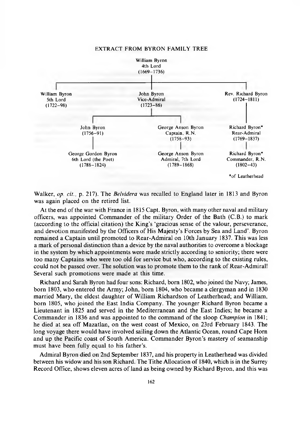

#### EXTRACT FROM BYRON FAMILY TREE

W alker, *op. cit.,* p. 217). The *Belvidera* was recalled to England later in 1813 and Byron was again placed on the retired list.

At the end of the war with France in 1815 Capt. Byron, with many other naval and military officers, was appointed Commander of the military Order of the Bath (C.B.) to mark (according to the official citation) the King's 'gracious sense of the valour, perseverance, and devotion manifested by the Officers of His Majesty's Forces by Sea and Land'. Byron remained a Captain until promoted to Rear-Admiral on 10th January 1837. This was less a mark of personal distinction than a device by the naval authorities to overcome a blockage in the system by which appointments were made strictly according to seniority; there were too many Captains who were too old for service but who, according to the existing rules, could not be passed over. The solution was to promote them to the rank of Rear-Admiral! Several such promotions were made at this time.

Richard and Sarah Byron had four sons: Richard, bom 1802, who joined the Navy; James, born 1803, w ho entered the Army; John, born 1804, who became a clergyman and in 1830 married Mary, the eldest daughter of William Richardson of Leatherhead; and William, born 1805, who joined the East India Company. The younger Richard Byron became a Lieutenant in 1825 and served in the Mediterranean and the East Indies; he became a Commander in 1836 and was appointed to the command of the sloop *Champion* in 1841; he died at sea off Mazatlan, on the west coast of Mexico, on 23rd February 1843. The long voyage there would have involved sailing down the Atlantic Ocean, round Cape Horn and up the Pacific coast of South America. Commander Byron's mastery of seamanship must have been fully equal to his father's.

Admiral Byron died on 2nd September 1837, and his property in Leatherhead was divided between his widow and his son Richard. The Tithe Allocation of 1840, which is in the Surrey Record Office, shows eleven acres of land as being owned by Richard Byron, and this was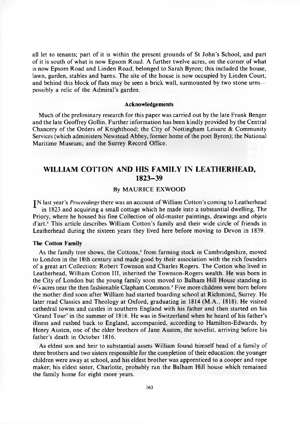all let to tenants; part of it is within the present grounds of St John's School, and part of it is south of what is now Epsom Road. A further twelve acres, on the corner of what is now Epsom R oad and Linden R oad, belonged to Sarah Byron; this included the house, lawn, garden, stables and barns. The site of the house is now occupied by Linden Court, and behind this block of flats may be seen a brick wall, surmounted by two stone urns possibly a relic of the Admiral's garden.

#### **Acknowledgements**

Much of the preliminary research for this paper was carried out by the late Frank Benger and the late Geoffrey Gollin. Further information has been kindly provided by the Central Chancery of the Orders of Knighthood; the City of Nottingham Leisure  $\&$  Community Services (which administers Newstead Abbey, former home of the poet Byron); the National Maritime Museum; and the Surrey Record Office.

### <span id="page-16-0"></span>**WILLIAM COTTON AND HIS FAMILY IN LEATHERHEAD, 1823-39**

#### By MAURICE EXWOOD

IN last year's *Proceedings* there was an account of William Cotton's coming to Leatherhead in 1823 and acquiring a small cottage which he made into a substantial dwelling, The Priory, where he housed his fine Collection of old-master paintings, drawings and objets d'art.<sup>1</sup> This article describes William Cotton's family and their wide circle of friends in Leatherhead during the sixteen years they lived here before moving to Devon in 1839.

#### **The Cotton Family**

As the family tree shows, the Cottons,<sup>2</sup> from farming stock in Cambridgeshire, moved to London in the 18th century and made good by their association with the rich founders of a great art Collection: Robert Townson and Charles Rogers. The Cotton who lived in Leatherhead, William Cotton III, inherited the Townson-Rogers wealth. He was born in the City of London but the young family soon moved to Balham Hill House standing in 6<sup>1</sup>/<sub>4</sub> acres near the then fashionable Clapham Common.<sup>3</sup> Five more children were born before the mother died soon after William had started boarding school at Richmond, Surrey. He later read Classics and Theology at Oxford, graduating in 1814 (M.A., 1818). He visited cathedral towns and castles in southern England with his father and then started on his 'Grand Tour' in the summer of 1816. He was in Switzerland when he heard of his father's illness and rushed back to England, accompanied, according to Hamilton-Edwards, by Henry Austen, one of the elder brothers of Jane Austen, the novelist, arriving before his father's death in October 1816.

As eldest son and heir to substantial assets William found himself head of a family of three brothers and two sisters responsible for the completion of their education: the younger children were away at school, and his eldest brother was apprenticed to a cooper and rope maker; his eldest sister, Charlotte, probably ran the Balham Hill house which remained the family home for eight more years.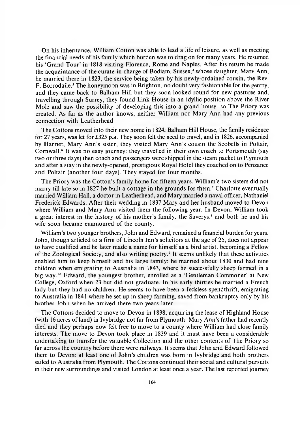On his inheritance, William Cotton was able to lead a life of leisure, as well as meeting the financial needs of his family which burden was to drag on for many years. He resumed his 'Grand Tour' in 1818 visiting Florence, Rome and Naples. After his return he made the acquaintance of the curate-in-charge of Bodiam, Sussex,<sup>4</sup> whose daughter, Mary Ann, he married there in 1823, the service being taken by his newly-ordained cousin, the Rev. F. Borrodaile.<sup>5</sup> The honeymoon was in Brighton, no doubt very fashionable for the gentry, and they came back to Balham Hill but they soon looked round for new pastures and, travelling through Surrey, they found Link House in an idyllic position above the River Mole and saw the possibility of developing this into a grand house: so The Priory was created. As far as the author knows, neither William nor Mary Ann had any previous connection with Leatherhead.

The Cottons moved into their new home in 1824; Balham Hill House, the family residence for 27 years, was let for £325 p.a. They soon felt the need to travel, and in 1826, accompanied by Harriet, Mary Ann's sister, they visited Mary Ann's cousin the Scobells in Poltair, Cornwall.<sup>6</sup> It was no easy journey: they travelled in their own coach to Portsmouth (say two or three days) then coach and passengers were shipped in the steam packet to Plymouth and after a stay in the newly-opened, prestigious Royal Hotel they coached on to Penzance and Poltair (another four days). They stayed for four months.

The Priory was the Cotton's family home for fifteen years. William's two sisters did not marry till late so in 1827 he built a cottage in the grounds for them.<sup>7</sup> Charlotte eventually married William Hall, a doctor in Leatherhead, and Mary married a naval officer, Nathaniel Frederick Edwards. After their wedding in 1837 Mary and her husband moved to Devon where William and Mary Ann visited them the following year. In Devon, William took a great interest in the history of his mother's family, the Saverys,<sup>8</sup> and both he and his wife soon became enamoured of the county.

W illiam's two younger brothers, John and Edward, remained a financial burden for years. John, though articled to a firm of Lincoln Inn's solicitors at the age of 25, does not appear to have qualified and he later made a name for himself as a bird artist, becoming a Fellow of the Zoological Society, and also writing poetry.9 It seems unlikely that these activities enabled him to keep himself and his large family: he married about 1830 and had nine children when emigrating to Australia in 1843, where he successfully sheep farmed in a big way.<sup>10</sup> Edward, the youngest brother, enrolled as a 'Gentleman Commoner' at New College, Oxford when 23 but did not graduate. In his early thirties he married a French lady but they had no children. He seems to have been a feckless spendthrift, emigrating to Australia in 1841 where he set up in sheep farming, saved from bankruptcy only by his brother John when he arrived there two years later.

The Cottons decided to move to Devon in 1838, acquiring the lease of Highland House (with 16 acres of land) in Ivybridge not far from Plymouth. Mary Ann's father had recently died and they perhaps now felt free to move to a county where William had close family interests. The move to Devon took place in 1839 and it must have been a considerable undertaking to transfer the valuable Collection and the other contents of The Priory so far across the country before there were railways. It seems that John and Edward followed them to Devon: at least one of John's children was born in Ivybridge and both brothers sailed to Australia from Plymouth. The Cottons continued their social and cultural pursuits in their new surroundings and visited London at least once a year. The last reported journey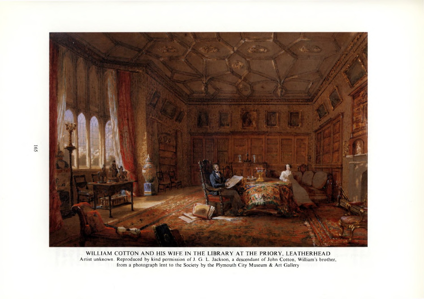

WILLIAM COTTON AND HIS WIFE IN THE LIBRARY AT THE PRIORY, LEATHERHEAD Artist unknown. Reproduced by kind permission of J. G. L. Jackson, a descendant of John Cotton, William's brother, from a photograph lent to the Society by the Plymouth City Museum & Art Gallery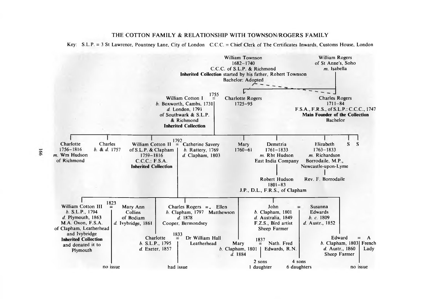# **THE COTTON FAMILY & RELATIONSHIP WITH TOWNSON/ROGERS FAMILY**

Key: S.L.P. = 3 St Lawrence, Pountney Lane, City of London C.C.C. = Chief Clerk of The Certificates Inwards, Customs House, London



 $991$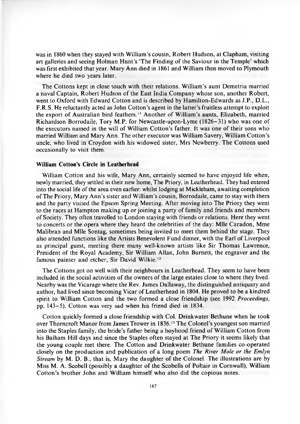was in 1860 when they stayed with William's cousin, Robert Hudson, at Clapham, visiting art galleries and seeing Holman Hunt's 'The Finding of the Saviour in the Temple' which was first exhibited that year. Mary Ann died in 1861 and William then moved to Plymouth where he died two years later.

The Cottons kept in close touch with their relations. William's aunt Demetria married a naval Captain, Robert Hudson of the East India Company whose son, another Robert, went to Oxford with Edward Cotton and is described by Hamilton-Edwards as J.P., D.L., F.R.S. He reluctantly acted as John Cotton's agent in the latter's fruitless attempt to exploit the export of Australian bird feathers.<sup>11</sup> Another of William's aunts, Elizabeth, married Richardson Borrodaile, Tory M.P. for Newcastle-upon-Lyme (1826-31) who was one of the executors named in the will of William Cotton's father. It was one of their sons who married William and Mary Ann. The other executor was William Savery, William Cotton's uncle, who lived in Croydon with his widowed sister, Mrs Newberry. The Cottons used occasionally to visit them.

#### **William Cotton's Circle in Leatherhead**

William Cotton and his wife, Mary Ann, certainly seemed to have enjoyed life when, newly married, they settled in their new home, The Priory, in Leatherhead. They had entered into the social life of the area even earlier: whilst lodging at Mickleham, awaiting completion of The Priory, Mary Ann's sister and William's cousin, Borrodaile, came to stay with them and the party visited the Epsom Spring Meeting. A fter moving into The Priory they went to the races at Hampton making up or joining a party of family and friends and members of Society. They often travelled to London staying with friends or relations. Here they went to concerts or the opera where they heard the celebrities of the day: Mile Caradon, Mme Malibran and Mile Sontag, sometimes being invited to meet them behind the stage. They also attended functions like the Artists Benevolent Fund dinner, with the Earl of Liverpool as principal guest, meeting there many well-known artists like Sir Thomas Lawrence, President of the Royal Academy, Sir William Allan, John Burnett, the engraver and the famous painter and etcher, Sir David Wilkie.<sup>12</sup>

The Cottons got on well with their neighbours in Leatherhead. They seem to have been included in the social activities of the owners of the large estates close to where they lived. Nearby was the Vicarage where the Rev. James Dallaway, the distinguished antiquary and author, had lived since becoming Vicar of Leatherhead in 1804. He proved to be a kindred spirit to William C otton and the two formed a close friendship (see 1992 *Proceedings,* pp. 143-5). C otton was very sad when his friend died in 1834.

Cotton quickly formed a close friendship with Col. Drinkwater Bethune when he took over Thorncroft Manor from James Trower in 1836.<sup>13</sup> The Colonel's youngest son married into the Staples family, the bride's father being a boyhood friend of William Cotton from his Balham Hill days and since the Staples often stayed at The Priory it seems likely that the young couple met there. The Cotton and Drinkwater Bethune families co-operated closely on the production and publication of a long poem *The River Mole or the Emlyn Stream* by M. D. B., that is, Mary the daughter of the Colonel. The illustrations are by Miss M. A. Scobell (possibly a daughter of the Scobells of Poltair in Cornwall), William Cotton's brother John and William himself who also did the copious notes.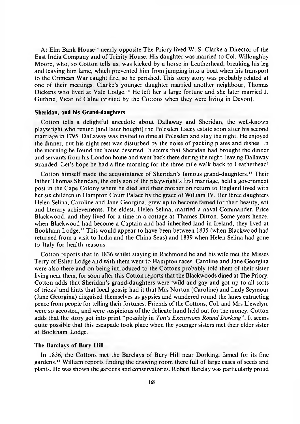At Elm Bank House<sup>14</sup> nearly opposite The Priory lived W. S. Clarke a Director of the East India Company and of Trinity House. His daughter was married to Col. Willoughby Moore, who, so Cotton tells us, was kicked by a horse in Leatherhead, breaking his leg and leaving him lame, which prevented him from jumping into a boat when his transport to the Crimean War caught fire, so he perished. This sorry story was probably related at one of their meetings. Clarke's younger daughter married another neighbour, Thomas Dickens who lived at Vale Lodge.<sup>15</sup> He left her a large fortune and she later married J. Guthrie, Vicar of Calne (visited by the Cottons when they were living in Devon).

#### **Sheridan, and his Grand-daughters**

C otton tells a delightful anecdote about Dallaway and Sheridan, the well-known playwright who rented (and later bought) the Polesden Lacey estate soon after his second marriage in 1795. Dallaway was invited to dine at Polesden and stay the night. He enjoyed the dinner, but his night rest was disturbed by the noise of packing plates and dishes. In the morning he found the house deserted. It seems that Sheridan had brought the dinner and servants from his London home and went back there during the night, leaving Dallaway stranded. Let's hope he had a fine morning for the three mile walk back to Leatherhead!

Cotton himself made the acquaintance of Sheridan's famous grand-daughters.<sup>16</sup> Their father Thomas Sheridan, the only son of the playwright's first marriage, held a government post in the Cape Colony where he died and their mother on return to England lived with her six children in Hampton Court Palace by the grace of William IV. Her three daughters Helen Selina, Caroline and Jane Georgina, grew up to become famed for their beauty, wit and literary achievements. The eldest, Helen Selina, married a naval Commander, Price Blackwood, and they lived for a time in a cottage at Thames Ditton. Some years hence, when Blackwood had become a Captain and had inherited land in Ireland, they lived at Bookham Lodge.<sup>17</sup> This would appear to have been between 1835 (when Blackwood had returned from a visit to India and the China Seas) and 1839 when Helen Selina had gone to Italy for health reasons.

Cotton reports that in 1836 whilst staying in Richmond he and his wife met the Misses Terry of Esher Lodge and with them went to Hampton races. Caroline and Jane Georgina were also there and on being introduced to the Cottons probably told them of their sister living near them, for soon after this Cotton reports that the Blackwoods dined at The Priory. C otton adds that Sheridan's grand-daughters were 'wild and gay and got up to all sorts of tricks' and hints that local gossip had it that Mrs Norton (Caroline) and Lady Seymour (Jane Georgina) disguised themselves as gypsies and wandered round the lanes extracting pence from people for telling their fortunes. Friends of the Cottons, Col. and Mrs Llewelyn, were so accosted, and were suspicious of the delicate hand held out for the money. Cotton adds that the story got into print "possibly in *Tim's Excursions Round Dorking*". It seems quite possible that this escapade took place when the younger sisters met their elder sister at Bookham Lodge.

#### **The Barclays of Bury Hill**

In 1836, the Cottons met the Barclays of Bury Hill near Dorking, famed for its fine gardens.<sup>18</sup> William reports finding the drawing room there full of large cases of seeds and plants. He was shown the gardens and conservatories. Robert Barclay was particularly proud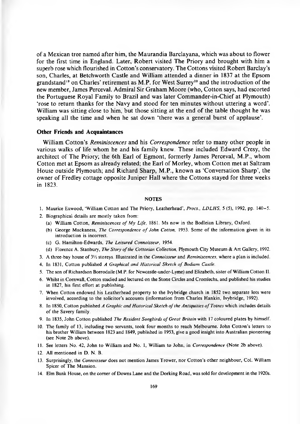of a Mexican tree named after him, the Maurandia Barclayana, which was about to flower for the first time in England. Later, Robert visited The Priory and brought with him a superb rose which flourished in Cotton's conservatory. The Cottons visited Robert Barclay's son, Charles, at Betchworth Castle and William attended a dinner in 1837 at the Epsom grandstand<sup>19</sup> on Charles' retirement as M.P. for West Surrey<sup>20</sup> and the introduction of the new member, James Perceval. Admiral Sir Graham Moore (who, Cotton says, had escorted the Portuguese Royal Family to Brazil and was later Commander-in-Chief at Plymouth) 'rose to return thanks for the Navy and stood for ten minutes without uttering a word'. William was sitting close to him, but those sitting at the end of the table thought he was speaking all the time and when he sat down 'there was a general burst of applause'.

#### **Other Friends and Acquaintances**

William Cotton's *Reminiscences* and his *Correspondence* refer to many other people in various walks of life whom he and his family knew. These included Edward Cresy, the architect of The Priory; the 6th Earl of Egmont, formerly James Perceval, M.P., whom Cotton met at Epsom as already related; the Earl of Morley, whom Cotton met at Saltram House outside Plymouth; and Richard Sharp, M.P., known as 'Conversation Sharp', the owner of Fredley cottage opposite Juniper Hall where the Cottons stayed for three weeks in 1823.

#### **NOTES**

- 1. Maurice Exwood, 'William Cotton and The Priory, Leatherhead', *Procs., LDLHS*, 5 (5), 1992, pp. 140–5.
- 2. Biographical details are mostly taken from:
	- (a) William Cotton, *Reminiscences of My Life*, 1861. Ms now in the Bodleian Library, Oxford.
	- (b) George Mackaness, *The Correspondence of John Cotton*, 1953. Some of the information given in its introduction is incorrect.
	- (c) G. H am ilton-Edw ards, *The Leisured Connoisseur,* 1954.
	- (d) Florence A. Stanbury, *The Story of the Cottonian Collection*, Plymouth City Museum & Art Gallery, 1992.
- 3. A three-bay house of  $3\frac{1}{2}$  storeys. Illustrated in the *Connoisseur* and *Reminiscences*, where a plan is included.
- 4. In 1831, Cotton published *A Graphical and Historical Sketch of Bodiam Castle.*
- 5. The son of Richardson Borrodaile (M.P. for Newcastle-under-Lyme) and Elizabeth, sister of William Cotton II.
- 6. Whilst in Cornwall, Cotton studied and lectured on the Stone Circles and Cromlechs, and published his studies in 1827, his first effort at publishing.
- 7. When Cotton endowed his Leatherhead property to the Ivybridge church in 1852 two separate lots were involved, according to the solicitor's accounts (information from Charles Hankin, Ivybridge, 1992).
- 8. In 1850, Cotton published *A Graphic and Historical Sketch of the Antiquities of Totnes* which includes details of the Savery family.
- 9. In 1835, John Cotton published *The Resident Songbirds of Great Britain* with 17 coloured plates by himself.
- 10. The family of 13, including two servants, took four months to reach Melbourne. John Cotton's letters to his brother William between 1823 and 1849, published in 1953, give a good insight into Australian pioneering (see Note 2b above).
- 11. See letters No. 42, John to William and No. 1, William to John, in *Correspondence* (Note 2b above).
- 12. All mentioned in  $D \, N \, B$ .
- 13. Surprisingly, the *Connoisseur* does not mention James Trower, nor Cotton's other neighbour, Col. William Spicer of The Mansion.
- 14. Elm Bank House, on the corner of Downs Lane and the Dorking Road, was sold for development in the 1920s.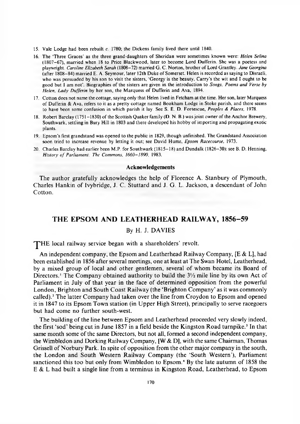- 15. Vale Lodge had been rebuilt *c.* 1780; the Dickens family lived there until 1840.
- 16. The 'Three G races' as the three grand-daughters of Sheridan were sometimes known were: *Helen Selina* (1807-67), married when 18 to Price Blackwood, later to become Lord Dufferin. She was a poetess and playwright. *Caroline Elizabeth Sarah* (1808-72) married G. C. Norton, brother o f Lord Grantley. *Jane Georgina* (after 1808–84) married E. A. Seymour, later 12th Duke of Somerset. Helen is recorded as saying to Disraeli, who was persuaded by his son to visit the sisters, 'Georgy is the beauty, Carry's the wit and I ought to be good but I am not'. Biographies of the sisters are given in the introduction to *Songs, Poems and Verse by Helen, Lady Dufferin* by her son, the Marquess of Dufferin and Ava, 1894.
- 17. Cotton does not name the cottage, saying only that Helen lived in Fetcham at the time. Her son, later Marquess of Dufferin & Ava, refers to it as a pretty cottage named Bookham Lodge in Stoke parish, and there seems to have been some confusion in which parish it lay. See S. E. D. Fortescue, *Peoples & Places,* 1978.
- 18. Robert Barclay (1751-1830) of the Scottish Quaker family (D. N. B.) was joint owner of the Anchor Brewery, Southwark, settling in Bury Hill in 1803 and there developed his hobby of importing and propagating exotic plants.
- 19. Epsom's first grandstand was opened to the public in 1829, though unfinished. The Grandstand Association soon tried to increase revenue by letting it out; see David Hume, *Epsom Racecourse,* 1973.
- 20. Charles Barclay had earlier been M.P. for Southwark (1815–18) and Dundalk (1826–30); see B. D. Henning, *History of Parliament: The Commons, 1660-1890, 1983.*

#### **Acknowledgements**

The author gratefully acknowledges the help of Florence A. Stanbury of Plymouth, Charles Hankin of Ivybridge, J. C. Stuttard and J. G. L. Jackson, a descendant of John Cotton.

### **THE EPSOM AND LEATHERHEAD RAILWAY, 1856-59**

#### By H. J. DAVIES

<span id="page-23-0"></span>THE local railway service began with a shareholders' revolt.

An independent company, the Epsom and Leatherhead Railway Company, [E & L], had been established in 1856 after several meetings, one at least at The Swan Hotel, Leatherhead, by a mixed group of local and other gentlemen, several of whom became its Board of Directors.<sup>1</sup> The Company obtained authority to build the  $3\frac{1}{2}$  mile line by its own Act of Parliament in July of that year in the face of determined opposition from the powerful London, Brighton and South Coast Railway (the 'Brighton Company' as it was commonly called).<sup>2</sup> The latter Company had taken over the line from Croydon to Epsom and opened it in 1847 to its Epsom Town station (in Upper High Street), principally to serve racegoers but had come no further south-west.

The building of the line between Epsom and Leatherhead proceeded very slowly indeed, the first 'sod' being cut in June 1857 in a field beside the Kingston Road turnpike.<sup>3</sup> In that same month some of the same Directors, but not all, formed a second independent company, the Wimbledon and Dorking Railway Company, [W & D], with the same Chairman, Thomas Grissell of Norbury Park. In spite of opposition from the other major company in the south, the London and South Western Railway Company (the 'South Western'), Parliament sanctioned this too but only from Wimbledon to Epsom.<sup>4</sup> By the late autumn of 1858 the E & L had built a single line from a terminus in Kingston Road, Leatherhead, to Epsom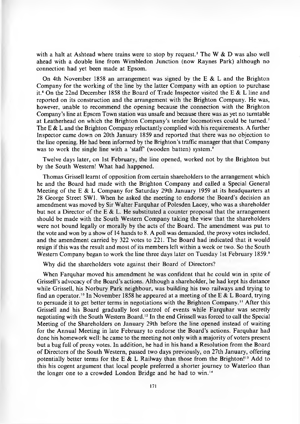with a halt at Ashtead where trains were to stop by request.<sup>5</sup> The W  $\&$  D was also well ahead with a double line from Wimbledon Junction (now Raynes Park) although no connection had yet been made at Epsom.

On 4th November 1858 an arrangement was signed by the E  $\&$  L and the Brighton Company for the working of the line by the latter Company with an option to purchase it.<sup>6</sup> On the 22nd December 1858 the Board of Trade Inspector visited the E  $\&$  L line and reported on its construction and the arrangement with the Brighton Company. He was, however, unable to recommend the opening because the connection with the Brighton Company's line at Epsom Town station was unsafe and because there was as yet no turntable at Leatherhead on which the Brighton Company's tender locomotives could be turned.<sup>7</sup> The E  $\&$  L and the Brighton Company reluctantly complied with his requirements. A further Inspector came down on 20th January 1859 and reported that there was no objection to the line opening. He had been informed by the Brighton's traffic manager that that Company was to work the single line with a 'staff' (wooden batten) system.<sup>8</sup>

Twelve days later, on 1st February, the line opened, worked not by the Brighton but by the South Western! What had happened.

Thomas Grissell learnt of opposition from certain shareholders to the arrangement which he and the Board had made with the Brighton Company and called a Special General Meeting of the E & L Company for Saturday 29th January 1959 at its headquarters at 28 George Street SW1. When he asked the meeting to endorse the Board's decision an amendment was moved by Sir Walter Farquhar of Polesden Lacey, who was a shareholder but not a Director of the E & L. He substituted a counter proposal that the arrangement should be made with the South Western Company taking the view that the shareholders were not bound legally or morally by the acts of the Board. The amendment was put to the vote and won by a show of 14 hands to 8. A poll was demanded, the proxy votes included, and the amendment carried by 322 votes to 221. The Board had indicated that it would resign if this was the result and most of its members left within a week or two. So the South Western Company began to work the line three days later on Tuesday 1st February 1859.

Why did the shareholders vote against their Board of Directors?

When Farquhar moved his amendment he was confident that he could win in spite of Grissell's advocacy of the Board's actions. Although a shareholder, he had kept his distance while Grissell, his Norbury Park neighbour, was building his two railways and trying to find an operator.<sup>10</sup> In November 1858 he appeared at a meeting of the E & L Board, trying to persuade it to get better terms in negotiations with the Brighton Company.<sup>11</sup> After this Grissell and his Board gradually lost control of events while Farquhar was secretly negotiating with the South Western Board.<sup>12</sup> In the end Grissell was forced to call the Special Meeting of the Shareholders on January 29th before the line opened instead of waiting for the Annual Meeting in late February to endorse the Board's actions. Farquhar had done his homework well: he came to the meeting not only with a majority of voters present but a bag full of proxy votes. In addition, he had in his hand a R esolution from the Board of Directors of the South Western, passed two days previously, on 27th January, offering potentially better terms for the E & L Railway than those from the Brighton!<sup>13</sup> Add to this his cogent argument that local people preferred a shorter journey to Waterloo than the longer one to a crowded London Bridge and he had to win.<sup>14</sup>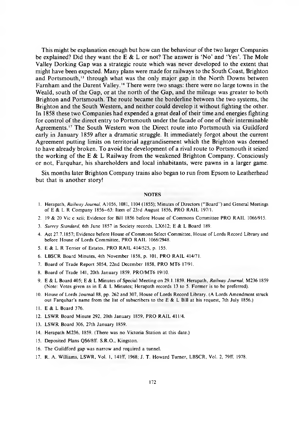This might be explanation enough but how can the behaviour of the two larger Companies be explained? Did they want the E & L or not? The answer is 'No' and 'Yes'. The Mole Valley Dorking Gap was a strategic route which was never developed to the extent that might have been expected. Many plans were made for railways to the South Coast, Brighton and Portsmouth,<sup>15</sup> through what was the only major gap in the North Downs between Farnham and the Darent Valley.<sup>16</sup> There were two snags: there were no large towns in the Weald, south of the Gap, or at the north of the Gap, and the mileage was greater to both Brighton and Portsmouth. The route became the borderline between the two systems, the Brighton and the South Western, and neither could develop it without fighting the other. In 1858 these two Companies had expended a great deal of their time and energies fighting for control of the direct entry to Portsmouth under the facade of one of their interminable Agreements.<sup>17</sup> The South Western won the Direct route into Portsmouth via Guildford early in January 1859 after a dramatic struggle. It immediately forgot about the current Agreement putting limits on territorial aggrandisement which the Brighton was deemed to have already broken. To avoid the development of a rival route to Portsmouth it seized the working of the E  $\&$  L Railway from the weakened Brighton Company. Consciously or not, Farquhar, his shareholders and local inhabitants, were pawns in a larger game.

Six months later Brighton Company trains also began to run from Epsom to Leatherhead but that is another story!

#### NOTES

- 1. Herapath, *Railway Journal*, A1056, 1081, 1104 (1855); Minutes of Directors ("Board") and General Meetings of E & L R Company 1856-63: Item of 23rd August 1856, PRO RAIL 197/1.
- 2. 19 & 20 Vic c xcii; Evidence for Bill 1856 before House of Commons Committee PRO RAIL 1066/915.
- 3. *Surrey Standard,* 6th June 1857 in Society records, LX612; E & L Board 189.
- 4. Act 27.7.1857; Evidence before House of Commons Select Committee, House of Lords Record Library and before House of Lords Committee, PRO RAIL 1066/2948.
- 5. E & L R Terrier of Estates, PRO RAIL 414/525, p. 155.
- 6. LBSCR Board Minutes, 4th November 1858, p. 101, PRO RAIL 414/71.
- 7. Board of Trade Report 5054, 22nd December 1858, PRO MT6 17/91.
- 8. Board of Trade 141, 20th January 1859, PRO/MT6 19/10.
- 9. E & L Board 405; E & L Minutes of Special Meeting on 29.1.1859. Herapath, *Railway Journal*, M236 1859 (Note: Votes given as in E & L Minutes; Herapath records 13 to 5. Former is to be preferred).
- 10. House of Lords Journal 88, pp. 262 and 307, House of Lords Record Library. (A Lords Amendment struck out Farquhar's name from the list of subscribers to the E & L Bill at his request, 7th July 1856.)
- 11. E & L Board 376.
- 12. LSWR Board Minute 292, 20th January 1859, PRO RAIL 411/4.
- 13. LSWR Board 306, 27th January 1859.
- 14. Herapath M236, 1859. (There was no Victoria Station at this date.)
- 15. Deposited Plans QS6/8ff. S.R.O., Kingston.
- 16. The Guildford gap was narrow and required a tunnel.
- 17. R. A. Williams, LSWR, Vol. 1, 141ff, 1968; J. T. Howard Turner, LBSCR, Vol. 2, 79ff, 1978.